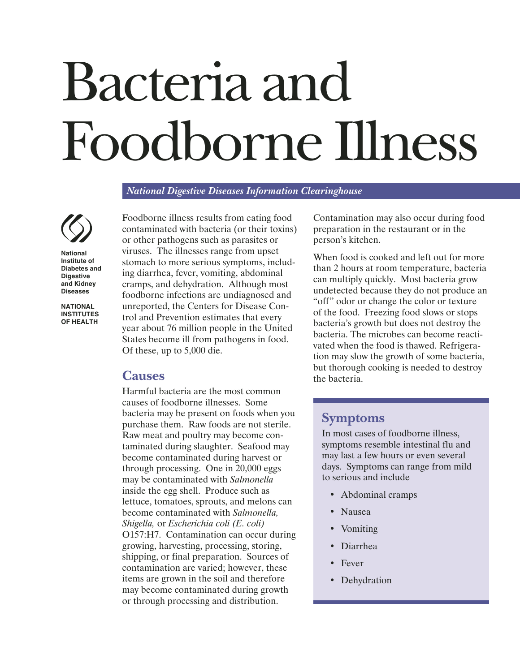# Bacteria and Foodborne Illness

*National Digestive Diseases Information Clearinghouse*



**National Institute of Diabetes and Digestive and Kidney Diseases**

**NATIONAL INSTITUTES OF HEALTH**

Foodborne illness results from eating food contaminated with bacteria (or their toxins) or other pathogens such as parasites or viruses. The illnesses range from upset stomach to more serious symptoms, including diarrhea, fever, vomiting, abdominal cramps, and dehydration. Although most foodborne infections are undiagnosed and unreported, the Centers for Disease Control and Prevention estimates that every year about 76 million people in the United States become ill from pathogens in food. Of these, up to 5,000 die.

## **Causes**

Harmful bacteria are the most common causes of foodborne illnesses. Some bacteria may be present on foods when you purchase them. Raw foods are not sterile. Raw meat and poultry may become contaminated during slaughter. Seafood may become contaminated during harvest or through processing. One in 20,000 eggs may be contaminated with *Salmonella* inside the egg shell. Produce such as lettuce, tomatoes, sprouts, and melons can become contaminated with *Salmonella, Shigella,* or *Escherichia coli (E. coli)* O157:H7. Contamination can occur during growing, harvesting, processing, storing, shipping, or final preparation. Sources of contamination are varied; however, these items are grown in the soil and therefore may become contaminated during growth or through processing and distribution.

Contamination may also occur during food preparation in the restaurant or in the person's kitchen.

When food is cooked and left out for more than 2 hours at room temperature, bacteria can multiply quickly. Most bacteria grow undetected because they do not produce an "off" odor or change the color or texture of the food. Freezing food slows or stops bacteria's growth but does not destroy the bacteria. The microbes can become reactivated when the food is thawed. Refrigeration may slow the growth of some bacteria, but thorough cooking is needed to destroy the bacteria.

#### **Symptoms**

In most cases of foodborne illness, symptoms resemble intestinal flu and may last a few hours or even several days. Symptoms can range from mild to serious and include

- Abdominal cramps
- Nausea
- Vomiting
- Diarrhea
- Fever
- Dehydration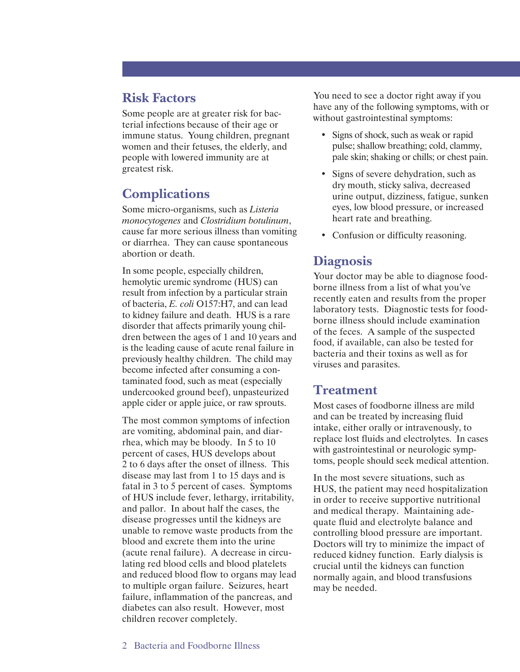### **Risk Factors**

Some people are at greater risk for bacterial infections because of their age or immune status. Young children, pregnant women and their fetuses, the elderly, and people with lowered immunity are at greatest risk.

# **Complications**

Some micro-organisms, such as *Listeria monocytogenes* and *Clostridium botulinum*, cause far more serious illness than vomiting or diarrhea. They can cause spontaneous abortion or death.

In some people, especially children, hemolytic uremic syndrome (HUS) can result from infection by a particular strain of bacteria, *E. coli* O157:H7, and can lead to kidney failure and death. HUS is a rare disorder that affects primarily young children between the ages of 1 and 10 years and is the leading cause of acute renal failure in previously healthy children. The child may become infected after consuming a contaminated food, such as meat (especially undercooked ground beef), unpasteurized apple cider or apple juice, or raw sprouts.

The most common symptoms of infection are vomiting, abdominal pain, and diarrhea, which may be bloody. In 5 to 10 percent of cases, HUS develops about 2 to 6 days after the onset of illness. This disease may last from 1 to 15 days and is fatal in 3 to 5 percent of cases. Symptoms of HUS include fever, lethargy, irritability, and pallor. In about half the cases, the disease progresses until the kidneys are unable to remove waste products from the blood and excrete them into the urine (acute renal failure). A decrease in circulating red blood cells and blood platelets and reduced blood flow to organs may lead to multiple organ failure. Seizures, heart failure, inflammation of the pancreas, and diabetes can also result. However, most children recover completely.

You need to see a doctor right away if you have any of the following symptoms, with or without gastrointestinal symptoms:

- Signs of shock, such as weak or rapid pulse; shallow breathing; cold, clammy, pale skin; shaking or chills; or chest pain.
- Signs of severe dehydration, such as dry mouth, sticky saliva, decreased urine output, dizziness, fatigue, sunken eyes, low blood pressure, or increased heart rate and breathing.
- Confusion or difficulty reasoning.

## **Diagnosis**

Your doctor may be able to diagnose foodborne illness from a list of what you've recently eaten and results from the proper laboratory tests. Diagnostic tests for foodborne illness should include examination of the feces. A sample of the suspected food, if available, can also be tested for bacteria and their toxins as well as for viruses and parasites.

#### **Treatment**

Most cases of foodborne illness are mild and can be treated by increasing fluid intake, either orally or intravenously, to replace lost fluids and electrolytes. In cases with gastrointestinal or neurologic symptoms, people should seek medical attention.

In the most severe situations, such as HUS, the patient may need hospitalization in order to receive supportive nutritional and medical therapy. Maintaining adequate fluid and electrolyte balance and controlling blood pressure are important. Doctors will try to minimize the impact of reduced kidney function. Early dialysis is crucial until the kidneys can function normally again, and blood transfusions may be needed.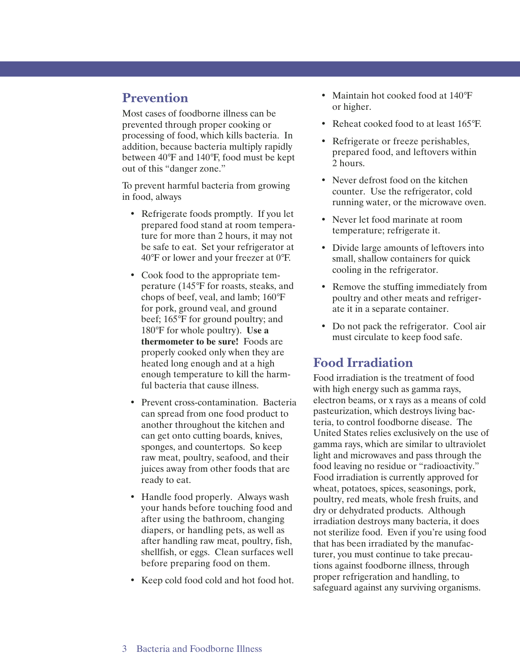## **Prevention**

Most cases of foodborne illness can be prevented through proper cooking or processing of food, which kills bacteria. In addition, because bacteria multiply rapidly between 40°F and 140°F, food must be kept out of this "danger zone."

To prevent harmful bacteria from growing in food, always

- Refrigerate foods promptly. If you let prepared food stand at room temperature for more than 2 hours, it may not be safe to eat. Set your refrigerator at 40°F or lower and your freezer at 0°F.
- Cook food to the appropriate temperature (145°F for roasts, steaks, and chops of beef, veal, and lamb; 160°F for pork, ground veal, and ground beef; 165°F for ground poultry; and 180°F for whole poultry). **Use a thermometer to be sure!** Foods are properly cooked only when they are heated long enough and at a high enough temperature to kill the harmful bacteria that cause illness.
- Prevent cross-contamination. Bacteria can spread from one food product to another throughout the kitchen and can get onto cutting boards, knives, sponges, and countertops. So keep raw meat, poultry, seafood, and their juices away from other foods that are ready to eat.
- Handle food properly. Always wash your hands before touching food and after using the bathroom, changing diapers, or handling pets, as well as after handling raw meat, poultry, fish, shellfish, or eggs. Clean surfaces well before preparing food on them.
- Keep cold food cold and hot food hot.
- Maintain hot cooked food at 140°F or higher.
- Reheat cooked food to at least 165°F.
- Refrigerate or freeze perishables, prepared food, and leftovers within 2 hours.
- Never defrost food on the kitchen counter. Use the refrigerator, cold running water, or the microwave oven.
- Never let food marinate at room temperature; refrigerate it.
- Divide large amounts of leftovers into small, shallow containers for quick cooling in the refrigerator.
- Remove the stuffing immediately from poultry and other meats and refrigerate it in a separate container.
- Do not pack the refrigerator. Cool air must circulate to keep food safe.

## **Food Irradiation**

Food irradiation is the treatment of food with high energy such as gamma rays, electron beams, or x rays as a means of cold pasteurization, which destroys living bacteria, to control foodborne disease. The United States relies exclusively on the use of gamma rays, which are similar to ultraviolet light and microwaves and pass through the food leaving no residue or "radioactivity." Food irradiation is currently approved for wheat, potatoes, spices, seasonings, pork, poultry, red meats, whole fresh fruits, and dry or dehydrated products. Although irradiation destroys many bacteria, it does not sterilize food. Even if you're using food that has been irradiated by the manufacturer, you must continue to take precautions against foodborne illness, through proper refrigeration and handling, to safeguard against any surviving organisms.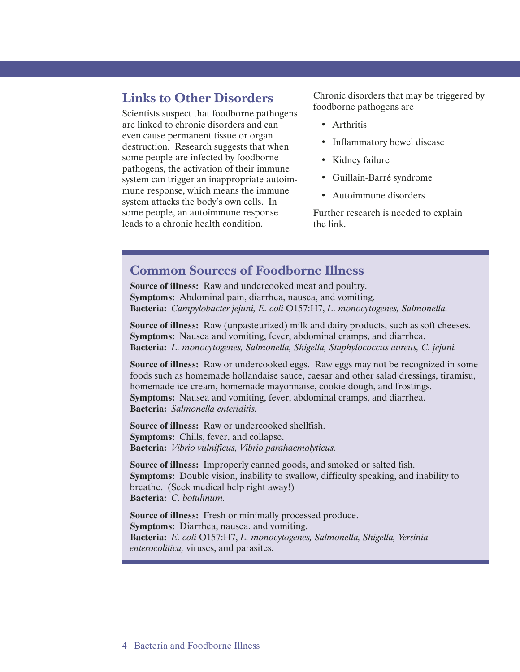#### **Links to Other Disorders**

Scientists suspect that foodborne pathogens are linked to chronic disorders and can even cause permanent tissue or organ destruction. Research suggests that when some people are infected by foodborne pathogens, the activation of their immune system can trigger an inappropriate autoimmune response, which means the immune system attacks the body's own cells. In some people, an autoimmune response leads to a chronic health condition.

Chronic disorders that may be triggered by foodborne pathogens are

- Arthritis
- Inflammatory bowel disease
- Kidney failure
- Guillain-Barré syndrome
- Autoimmune disorders

Further research is needed to explain the link.

#### **Common Sources of Foodborne Illness**

**Source of illness:** Raw and undercooked meat and poultry. **Symptoms:** Abdominal pain, diarrhea, nausea, and vomiting. **Bacteria:** *Campylobacter jejuni, E. coli* O157:H7, *L. monocytogenes, Salmonella.*

**Source of illness:** Raw (unpasteurized) milk and dairy products, such as soft cheeses. **Symptoms:** Nausea and vomiting, fever, abdominal cramps, and diarrhea. **Bacteria:** *L. monocytogenes, Salmonella, Shigella, Staphylococcus aureus, C. jejuni.*

**Source of illness:** Raw or undercooked eggs. Raw eggs may not be recognized in some foods such as homemade hollandaise sauce, caesar and other salad dressings, tiramisu, homemade ice cream, homemade mayonnaise, cookie dough, and frostings. **Symptoms:** Nausea and vomiting, fever, abdominal cramps, and diarrhea. **Bacteria:** *Salmonella enteriditis.*

**Source of illness:** Raw or undercooked shellfish. **Symptoms:** Chills, fever, and collapse. **Bacteria:** *Vibrio vulnificus, Vibrio parahaemolyticus.*

**Source of illness:** Improperly canned goods, and smoked or salted fish. **Symptoms:** Double vision, inability to swallow, difficulty speaking, and inability to breathe. (Seek medical help right away!) **Bacteria:** *C. botulinum.*

**Source of illness:** Fresh or minimally processed produce. **Symptoms:** Diarrhea, nausea, and vomiting. **Bacteria:** *E. coli* O157:H7, *L. monocytogenes, Salmonella, Shigella, Yersinia enterocolitica,* viruses, and parasites.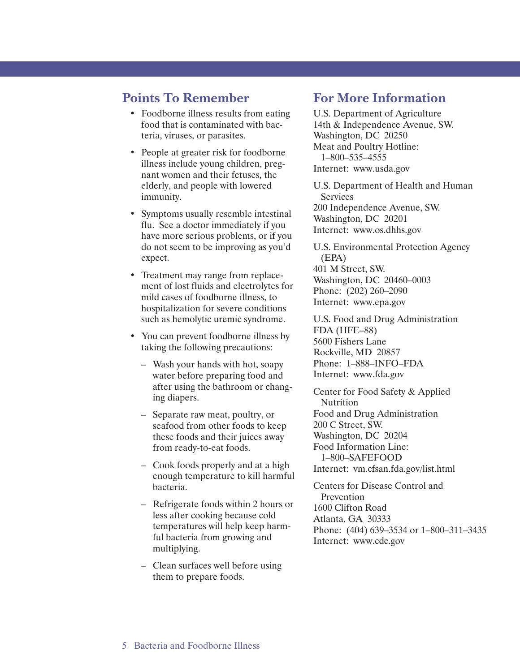### **Points To Remember**

- Foodborne illness results from eating food that is contaminated with bacteria, viruses, or parasites.
- People at greater risk for foodborne illness include young children, pregnant women and their fetuses, the elderly, and people with lowered immunity.
- Symptoms usually resemble intestinal flu. See a doctor immediately if you have more serious problems, or if you do not seem to be improving as you'd expect.
- Treatment may range from replacement of lost fluids and electrolytes for mild cases of foodborne illness, to hospitalization for severe conditions such as hemolytic uremic syndrome.
- You can prevent foodborne illness by taking the following precautions:
	- Wash your hands with hot, soapy water before preparing food and after using the bathroom or changing diapers.
	- Separate raw meat, poultry, or seafood from other foods to keep these foods and their juices away from ready-to-eat foods.
	- Cook foods properly and at a high enough temperature to kill harmful bacteria.
	- Refrigerate foods within 2 hours or less after cooking because cold temperatures will help keep harmful bacteria from growing and multiplying.
	- Clean surfaces well before using them to prepare foods.

## **For More Information**

U.S. Department of Agriculture 14th & Independence Avenue, SW. Washington, DC 20250 Meat and Poultry Hotline: 1–800–535–4555 Internet: www.usda.gov

U.S. Department of Health and Human Services 200 Independence Avenue, SW. Washington, DC 20201 Internet: www.os.dhhs.gov

U.S. Environmental Protection Agency (EPA) 401 M Street, SW. Washington, DC 20460–0003 Phone: (202) 260–2090 Internet: www.epa.gov

U.S. Food and Drug Administration FDA (HFE–88) 5600 Fishers Lane Rockville, MD 20857 Phone: 1–888–INFO–FDA Internet: www.fda.gov

Center for Food Safety & Applied Nutrition Food and Drug Administration 200 C Street, SW. Washington, DC 20204 Food Information Line: 1–800–SAFEFOOD Internet: vm.cfsan.fda.gov/list.html

Centers for Disease Control and Prevention 1600 Clifton Road Atlanta, GA 30333 Phone: (404) 639–3534 or 1–800–311–3435 Internet: www.cdc.gov